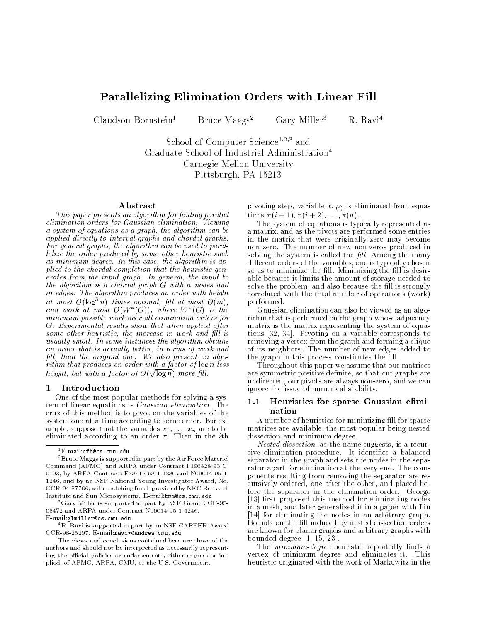# Parallelizing Elimination Orders with Linear Fill

Claudson Bornstein<sup>1</sup>

Bruce Maggs<sup>2</sup> Gary Miller<sup>3</sup> R. Ravi<sup>4</sup>

school of Computer science<sup>1,2</sup>;<sup>3</sup> and Graduate School of Industrial Administration4 Carnegie Mellon University Pittsburgh, PA 15213

### Abstract

This paper presents an algorithm for finding parallel elimination orders for Gaussian elimination. Viewing a system of equations as a graph, the algorithm can be applied directly to interval graphs and chordal graphs. For general graphs, the algorithm can be used to parallelize the order produced by some other heuristic such as minimum degree. In this case, the algorithm is applied to the chordal completion that the heuristic generates from the input graph. In general, the input to the algorithm is a chordal graph G with <sup>n</sup> nodes and m edges. The algorithm produces an order with height at most  $O(\log^3 n)$  times optimal, fill at most  $O(m)$ . and work at most  $O(W^*(G))$ , where  $W^*(G)$  is the minimum possible work over al l elimination orders for G. Experimental results show that when applied after some other heuristic, the increase in work and fill is usually small. In some instances the algorithm obtains an order that is actually better, in terms of work and fill, than the original one. We also present an algorithm that produces an order with a factor of log n less height, but with a factor of  $O(\sqrt{\log n})$  more fill.

#### 1Introduction

One of the most popular methods for solving a system of linear equations is Gaussian elimination. The crux of this method is to pivot on the variables of the system one-at-a-time according to some order. For example, suppose that the variables  $x_1, \ldots, x_n$  are to be<br>eliminated according to an order  $\pi$ . Then in the *i*th

3Gary Miller is supported in part by NSF Grant CCR-95- 05472 and ARPA under Contract N00014-95-1-1246. E-mail:glmiller@cs.cmu.edu

<sup>4</sup>R. Ravi is supported in part by an NSF CAREER Award CCR-96-25297. E-mail:ravi+@andrew.cmu.edu

pivoting step, variable  $x_{\pi(i)}$  is eliminated from equations  $\pi(i + 1), \pi(i + 2), \ldots, \pi(n)$ .

The system of equations is typically represented as a matrix, and as the pivots are performed some entries in the matrix that were originally zero may become non-zero. The number of new non-zeros produced in solving the system is called the  $\it fill$ . Among the many different orders of the variables, one is typically chosen so as to minimize the fill. Minimizing the fill is desirable because it limits the amount of storage needed to solve the problem, and also because the fill is strongly correlated with the total number of operations (work) performed.

Gaussian elimination can also be viewed as an algorithm that is performed on the graph whose adjacency matrix is the matrix representing the system of equations [32, 34]. Pivoting on a variable corresponds to removing a vertex from the graph and forming a clique of its neighbors. The number of new edges added to the graph in this process constitutes the fill.

Throughout this paper we assume that our matrices are symmetric positive definite, so that our graphs are undirected, our pivots are always non-zero, and we can ignore the issue of numerical stability.

# 1.1 Heuristics for sparse Gaussian elimination

A number of heuristics for minimizing fill for sparse matrices are available, the most popular being nested dissection and minimum-degree.

Nested dissection, as the name suggests, is a recursive elimination procedure. It identifies a balanced separator in the graph and sets the nodes in the separator apart for elimination at the very end. The components resulting from removing the separator are recursively ordered, one after the other, and placed before the separator in the elimination order. George [13] first proposed this method for eliminating nodes in a mesh, and later generalized it in a paper with Liu [14] for eliminating the nodes in an arbitrary graph. Bounds on the fill induced by nested dissection orders are known for planar graphs and arbitrary graphs with bounded degree [1, 15, 23].

The *minimum-degree* heuristic repeatedly finds a vertex of minimum degree and eliminates it. This heuristic originated with the work of Markowitz in the

<sup>1</sup> E-mail:cfb@cs.cmu.edu

<sup>2</sup>Bruce Maggs is supported in part by the Air Force Materiel Command (AFMC) and ARPA under Contract F196828-93-C-0193, by ARPA Contracts F33615-93-1-1330 and N00014-95-1- 1246, and by an NSF National Young Investigator Award, No. CCR-94-57766, with matching funds provided by NEC Research Institute and Sun Microsystems. E-mail:bmm@cs.cmu.edu

The views and conclusions contained here are those of the authors and should not be interpreted as necessarily representing the official policies or endorsements, either express or implied, of AFMC, ARPA, CMU, or the U.S. Government.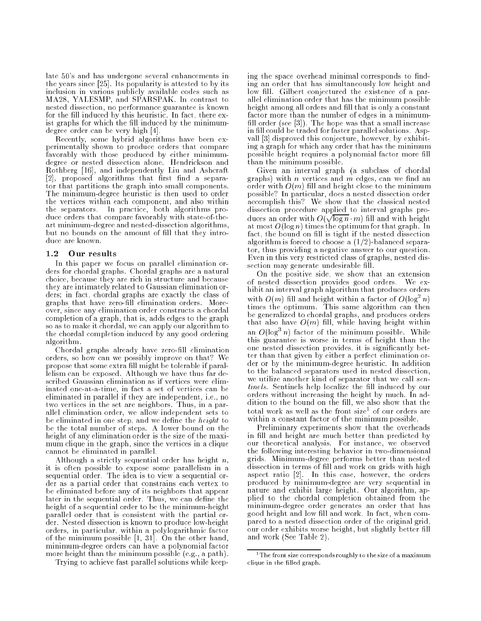late 50's and has undergone several enhancements in the years since [25]. Its popularity is attested to by its inclusion in various publicly available codes such as MA28, YALESMP, and SPARSPAK. In contrast to nested dissection, no performance guarantee is known for the fill induced by this heuristic. In fact, there exist graphs for which the fill induced by the minimumdegree order can be very high [4].

Recently, some hybrid algorithms have been experimentally shown to produce orders that compare favorably with those produced by either minimumdegree or nested dissection alone. Hendrickson and Rothberg [16], and independently Liu and Ashcraft  $[2]$ , proposed algorithms that first find a separator that partitions the graph into small components. The minimum-degree heuristic is then used to order the vertices within each component, and also within the separators. In practice, both algorithms produce orders that compare favorably with state-of-theart minimum-degree and nested-dissection algorithms, but no bounds on the amount of fill that they introduce are known.

# 1.2 Our results

In this paper we focus on parallel elimination orders for chordal graphs. Chordal graphs are a natural choice, because they are rich in structure and because they are intimately related to Gaussian elimination orders; in fact, chordal graphs are exactly the class of graphs that have zero-fill elimination orders. Moreover, since any elimination order constructs a chordal completion of a graph, that is, adds edges to the graph so as to make it chordal, we can apply our algorithm to the chordal completion induced by any good ordering algorithm.

Chordal graphs already have zero-fill elimination orders, so how can we possibly improve on that? We propose that some extra fill might be tolerable if parallelism can be exposed. Although we have thus far described Gaussian elimination as if vertices were eliminated one-at-a-time, in fact a set of vertices can be eliminated in parallel if they are independent, i.e., no two vertices in the set are neighbors. Thus, in a parallel elimination order, we allow independent sets to be eliminated in one step, and we define the  $height$  to be the total number of steps. A lower bound on the height of any elimination order is the size of the maximum clique in the graph, since the vertices in a clique cannot be eliminated in parallel.

Although a strictly sequential order has height  $n$ , it is often possible to expose some parallelism in a sequential order. The idea is to view a sequential order as a partial order that constrains each vertex to be eliminated before any of its neighbors that appear later in the sequential order. Thus, we can define the height of a sequential order to be the minimum-height parallel order that is consistent with the partial order. Nested dissection is known to produce low-height orders, in particular, within a polylogarithmic factor of the minimum possible [1, 31]. On the other hand, minimum-degree orders can have a polynomial factor more height than the minimum possible (e.g., a path).

Trying to achieve fast parallel solutions while keep-

ing the space overhead minimal corresponds to finding an order that has simultaneously low height and low fill. Gilbert conjectured the existence of a parallel elimination order that has the minimum possible height among all orders and fill that is only a constant factor more than the number of edges in a minimum fill order (see  $[3]$ ). The hope was that a small increase in fill could be traded for faster parallel solutions. Aspvall [3] disproved this conjecture, however, by exhibiting a graph for which any order that has the minimum possible height requires a polynomial factor more fill than the minimum possible.

Given an interval graph (a subclass of chordal graphs) with  $n$  vertices and  $m$  edges, can we find an order with  $O(m)$  fill and height close to the minimum possible? In particular, does a nested dissection order accomplish this? We show that the classical nested dissection procedure applied to interval graphs produces an order with  $O(\sqrt{\log n} \cdot m)$  fill and with height at most  $O(\log n)$  times the optimum for that graph. In fact, the bound on fill is tight if the nested dissection algorithm is forced to choose a (1/2)-balanced separator, thus providing a negative answer to our question. Even in this very restricted class of graphs, nested dissection may generate undesirable fill.

On the positive side, we show that an extension of nested dissection provides good orders. We exhibit an interval graph algorithm that produces orders with  $O(m)$  fill and height within a factor of  $O(\log^2 n)$ times the optimum. This same algorithm can then be generalized to chordal graphs, and produces orders that also have  $O(m)$  fill, while having height within an  $O(\log^3 n)$  factor of the minimum possible. While this guarantee is worse in terms of height than the one nested dissection provides, it is signicantly better than that given by either a perfect elimination order or by the minimum-degree heuristic. In addition to the balanced separators used in nested dissection, we utilize another kind of separator that we call sentinels. Sentinels help localize the fill induced by our orders without increasing the height by much. In addition to the bound on the fill, we also show that the total work as well as the front size for our orders are within a constant factor of the minimum possible.

Preliminary experiments show that the overheads in fill and height are much better than predicted by our theoretical analysis. For instance, we observed the following interesting behavior in two-dimensional grids. Minimum-degree performs better than nested dissection in terms of fill and work on grids with high aspect ratio [2]. In this case, however, the orders produced by minimum-degree are very sequential in nature and exhibit large height. Our algorithm, applied to the chordal completion obtained from the minimum-degree order generates an order that has good height and low fill and work. In fact, when compared to a nested dissection order of the original grid, our order exhibits worse height, but slightly better fill and work (See Table 2).

<sup>1</sup>The front size corresponds roughly to the size of a maximum clique in the filled graph.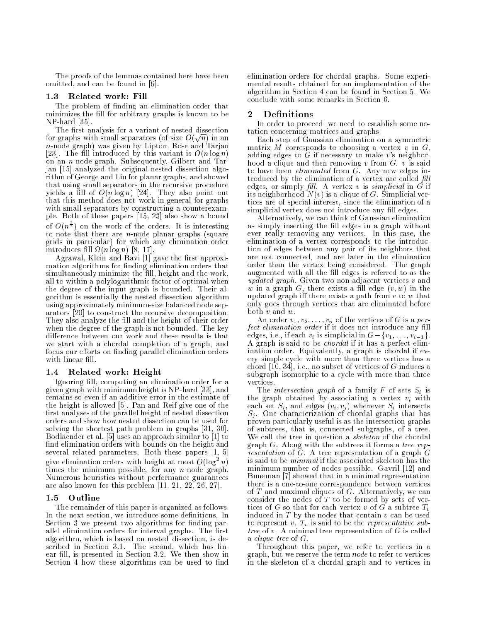The proofs of the lemmas contained here have been omitted, and can be found in [6].

#### $1.3$ Related work: Fill

The problem of finding an elimination order that minimizes the fill for arbitrary graphs is known to be NP-hard [35].

The first analysis for a variant of nested dissection for graphs with small separators (of size  $O(\sqrt{n})$  in an n-node graph) was given by Lipton, Rose and Tarjan [23]. The fill introduced by this variant is  $O(n \log n)$ on an n-node graph. Subsequently, Gilbert and Tarjan [15] analyzed the original nested dissection algorithm of George and Liu for planar graphs, and showed that using small separators in the recursive procedure yields a fill of  $O(n \log n)$  [24]. They also point out that this method does not work in general for graphs with small separators by constructing a counterexample. Both of these papers [15, 23] also show a bound of  $O(n^{\frac{3}{2}})$ ) on the work of the orders. It is interesting to note that there are n-node planar graphs (square grids in particular) for which any elimination order  $\ln$ roduces  $\ln \ln M$   $\log n$   $\log n$   $\sim$  17].

Agrawal, Klein and Ravi [1] gave the first approximation algorithms for finding elimination orders that simultaneously minimize the fill, height and the work, all to within a polylogarithmic factor of optimal when the degree of the input graph is bounded. Their algorithm is essentially the nested dissection algorithm using approximately minimum-size balanced node separators [20] to construct the recursive decomposition. They also analyze the fill and the height of their order when the degree of the graph is not bounded. The key difference between our work and these results is that we start with a chordal completion of a graph, and focus our efforts on finding parallel elimination orders with linear fill.

#### Related work: Height 1.4

Ignoring fill, computing an elimination order for a given graph with minimum height is NP-hard [33], and remains so even if an additive error in the estimate of the height is allowed [5]. Pan and Reif give one of the first analyses of the parallel height of nested dissection orders and show how nested dissection can be used for solving the shortest path problem in graphs [31, 30]. Bodlaender et al. [5] uses an approach similar to [1] to find elimination orders with bounds on the height and several related parameters. Both these papers [1, 5] give elimination orders with height at most  $O(\log^2 n)$ times the minimum possible, for any  $n$ -node graph. Numerous heuristics without performance guarantees are also known for this problem [11, 21, 22, 26, 27].

# 1.5 Outline

The remainder of this paper is organized as follows. In the next section, we introduce some definitions. In Section 3 we present two algorithms for finding parallel elimination orders for interval graphs. The first algorithm, which is based on nested dissection, is described in Section 3.1. The second, which has linear fill, is presented in Section 3.2. We then show in Section 4 how these algorithms can be used to find elimination orders for chordal graphs. Some experimental results obtained for an implementation of the algorithm in Section 4 can be found in Section 5. We conclude with some remarks in Section 6.

### $\mathbf 2$ **Definitions**

In order to proceed, we need to establish some notation concerning matrices and graphs.

Each step of Gaussian elimination on a symmetric matrix M corresponds to choosing a vertex  $v$  in  $G$ , adding edges to G if necessary to make  $v$ 's neighborhood a clique and then removing  $v$  from  $G. v$  is said to have been *eliminated* from  $G$ . Any new edges introduced by the elimination of a vertex are called  $\emph{fill}$ edges, or simply *fill.* A vertex  $v$  is simplicial in  $G$  if its neighborhood  $N(v)$  is a clique of  $G$ . Simplicial vertices are of special interest, since the elimination of a simplicial vertex does not introduce any fill edges.

Alternatively, we can think of Gaussian elimination as simply inserting the fill edges in a graph without ever really removing any vertices. In this case, the elimination of a vertex corresponds to the introduction of edges between any pair of its neighbors that are not connected, and are later in the elimination order than the vertex being considered. The graph augmented with all the fill edges is referred to as the updated graph. Given two non-adjacent vertices  $v$  and w in a graph G, there exists a fill edge  $(v, w)$  in the updated graph iff there exists a path from  $v$  to  $w$  that only goes through vertices that are eliminated before both v and w.

An order  $v_1, v_2, \ldots, v_n$  of the vertices of G is a perfect elimination order if it does not introduce any fill edges, i.e., if each  $v_i$  is simplicial in  $G - \{v_1, \ldots, v_{i-1}\}.$ A graph is said to be chordal if it has a perfect elimination order. Equivalently, a graph is chordal if every simple cycle with more than three vertices has a chord  $[10, 34]$ , i.e., no subset of vertices of G induces a subgraph isomorphic to a cycle with more than three vertices.

The *intersection graph* of a family F of sets  $S_i$  is the graph obtained by associating a vertex  $v_i$  with each set  $S_i$ , and edges  $(v_i, v_j)$  whenever  $S_i$  intersects  $S_j$ . One characterization of chordal graphs that has proven particularly useful is as the intersection graphs of subtrees, that is, connected subgraphs, of a tree. We call the tree in question a *skeleton* of the chordal graph  $G$ . Along with the subtrees it forms a tree rep*resentation* of  $G$ . A tree representation of a graph  $G$ is said to be minimal if the associated skeleton has the minimum number of nodes possible. Gavril [12] and Buneman [7] showed that in a minimal representation of  $T$  and maximal cliques of  $G$ . Alternatively, we can consider the nodes of  $T$  to be formed by sets of vertices of G so that for each vertex v of G a subtree  $T_v$ induced in  $T$  by the nodes that contain  $v$  can be used to represent v.  $T_v$  is said to be the *representative sub*tree of  $v$ . A minimal tree representation of  $G$  is called a clique tree of G.

Throughout this paper, we refer to vertices in a graph, but we reserve the term node to refer to vertices in the skeleton of a chordal graph and to vertices in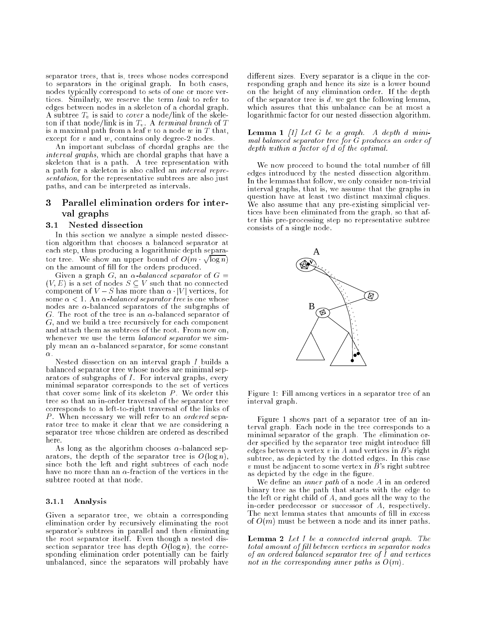separator trees, that is, trees whose nodes correspond to separators in the original graph. In both cases, nodes typically correspond to sets of one or more vertices. Similarly, we reserve the term link to refer to edges between nodes in a skeleton of a chordal graph. A subtree  $T_v$  is said to *cover* a node/link of the skeleton if that node/link is in  $T_v$ . A terminal branch of T is a maximal path from a leaf  $v$  to a node  $w$  in  $T$  that, except for  $v$  and  $w$ , contains only degree-2 nodes.

An important subclass of chordal graphs are the interval graphs, which are chordal graphs that have a skeleton that is a path. A tree representation with a path for a skeleton is also called an interval representation, for the representative subtrees are also just paths, and can be interpreted as intervals.

### 3 Parallel elimination orders for interval graphs

### 3.1 Nested dissection

In this section we analyze a simple nested dissection algorithm that chooses a balanced separator at each step, thus producing a logarithmic depth separator tree. We show an upper bound of  $O(m \cdot \sqrt{\log n})$ on the amount of fill for the orders produced.

Given a graph G, an  $\alpha$ -balanced separator of  $G =$  $(V, E)$  is a set of nodes  $S \subseteq V$  such that no connected component of  $V-S$  has more than  $\alpha$  |V| vertices, for some  $\alpha < 1$ . An  $\alpha$ -balanced separator tree is one whose nodes are  $\alpha$ -balanced separators of the subgraphs of G. The root of the tree is an  $\alpha$ -balanced separator of G, and we build a tree recursively for each component and attach them as subtrees of the root. From now on, whenever we use the term *balanced separator* we simply mean an  $\alpha$ -balanced separator, for some constant  $\alpha$  .

Nested dissection on an interval graph I builds a balanced separator tree whose nodes are minimal separators of subgraphs of I. For interval graphs, every minimal separator corresponds to the set of vertices that cover some link of its skeleton  $P$ . We order this tree so that an in-order traversal of the separator tree corresponds to a left-to-right traversal of the links of P. When necessary we will refer to an *ordered* separator tree to make it clear that we are considering a separator tree whose children are ordered as described here.

As long as the algorithm chooses  $\alpha$ -balanced separators, the depth of the separator tree is  $O(\log n)$ , since both the left and right subtrees of each node have no more than an  $\alpha$ -fraction of the vertices in the subtree rooted at that node.

# 3.1.1 Analysis

Given a separator tree, we obtain a corresponding elimination order by recursively eliminating the root separator's subtrees in parallel and then eliminating the root separator itself. Even though a nested dissection separator tree has depth  $O(\log n)$ , the corresponding elimination order potentially can be fairly unbalanced, since the separators will probably have

different sizes. Every separator is a clique in the corresponding graph and hence its size is a lower bound on the height of any elimination order. If the depth of the separator tree is  $d$ , we get the following lemma, which assures that this unbalance can be at most a logarithmic factor for our nested dissection algorithm.

### **Lemma 1** [1] Let G be a graph. A depth d minimal balanced separator tree for G produces an order of depth within a factor of d of the optimal.

We now proceed to bound the total number of fill edges introduced by the nested dissection algorithm. In the lemmas that follow, we only consider non-trivial interval graphs, that is, we assume that the graphs in question have at least two distinct maximal cliques. We also assume that any pre-existing simplicial vertices have been eliminated from the graph, so that after this pre-processing step no representative subtree consists of a single node.



Figure 1: Fill among vertices in a separator tree of an interval graph.

Figure 1 shows part of a separator tree of an interval graph. Each node in the tree corresponds to a minimal separator of the graph. The elimination order specified by the separator tree might introduce fill edges between a vertex  $v$  in A and vertices in B's right subtree, as depicted by the dotted edges. In this case  $v$  must be adjacent to some vertex in  $B$ 's right subtree as depicted by the edge in the figure.

We define an *inner path* of a node  $A$  in an ordered binary tree as the path that starts with the edge to the left or right child of A, and goes all the way to the in-order predecessor or successor of A, respectively. The next lemma states that amounts of fill in excess of  $O(m)$  must be between a node and its inner paths.

Lemma 2 Let I be a connected interval graph. The total amount of fill between vertices in separator nodes of an ordered balanced separator tree of I and vertices not in the corresponding inner paths is  $O(m)$ .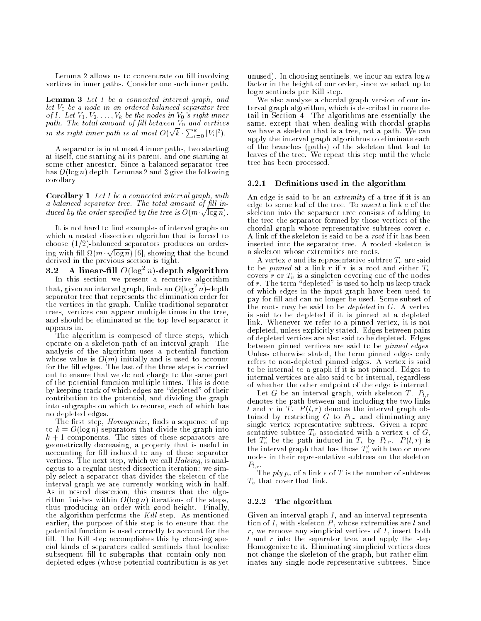Lemma 2 allows us to concentrate on fill involving vertices in inner paths. Consider one such inner path.

Lemma 3 Let I be a connected interval graph, and let  $V_0$  be a node in an ordered balanced separator tree of I. Let  $V_1, V_2, \ldots, V_k$  be the nodes in  $V_0$  's right inner path. The total amount of fill between  $V_0$  and vertices in its right inner path is at most  $O(\sqrt{k} \cdot \sum_{i=0}^{k} |V_i|^2)$ .

A separator is in at most 4 inner paths, two starting at itself, one starting at its parent, and one starting at some other ancestor. Since a balanced separator tree has  $O(\log n)$  depth, Lemmas 2 and 3 give the following corollary:

Corollary 1 Let I be a connected interval graph, with a balanced separator tree. The total amount of fill induced by the order specified by the tree is  $O(m \sqrt{\log n})$ .

It is not hard to find examples of interval graphs on which a nested dissection algorithm that is forced to choose  $(1/2)$ -balanced separators produces an ordering with fill  $\Omega(m \sqrt{\log n})$  [6], showing that the bound derived in the previous section is tight.

 $3.2$  A linear-nii  $O(10g^2/n)$ -depth algorithm In this section we present a recursive algorithm we present a recursive algorithm we present a recursive algorithm  $\mathcal{L}$ that, given an interval graph, finds an  $O(\log^2 n)$ -depth separator tree that represents the elimination order for the vertices in the graph. Unlike traditional separator trees, vertices can appear multiple times in the tree, and should be eliminated at the top level separator it appears in.

The algorithm is composed of three steps, which operate on a skeleton path of an interval graph. The analysis of the algorithm uses a potential function whose value is  $O(m)$  initially and is used to account for the fill edges. The last of the three steps is carried out to ensure that we do not charge to the same part of the potential function multiple times. This is done by keeping track of which edges are "depleted" of their contribution to the potential, and dividing the graph into subgraphs on which to recurse, each of which has no depleted edges.

The first step, *Homogenize*, finds a sequence of up to  $k = O(\log n)$  separators that divide the graph into  $k + 1$  components. The sizes of these separators are geometrically decreasing, a property that is useful in accounting for fill induced to any of these separator vertices. The next step, which we call Halving, is analogous to a regular nested dissection iteration: we simply select a separator that divides the skeleton of the interval graph we are currently working with in half. As in nested dissection, this ensures that the algorithm finishes within  $O(\log n)$  iterations of the steps, thus producing an order with good height. Finally, the algorithm performs the Kill step. As mentioned earlier, the purpose of this step is to ensure that the potential function is used correctly to account for the fill. The Kill step accomplishes this by choosing special kinds of separators called sentinels that localize subsequent fill to subgraphs that contain only nondepleted edges (whose potential contribution is as yet unused). In choosing sentinels, we incur an extra  $\log n$ factor in the height of our order, since we select up to log n sentinels per Kill step.

We also analyze a chordal graph version of our interval graph algorithm, which is described in more detail in Section 4. The algorithms are essentially the same, except that when dealing with chordal graphs we have a skeleton that is a tree, not a path. We can apply the interval graph algorithms to eliminate each of the branches (paths) of the skeleton that lead to leaves of the tree. We repeat this step until the whole tree has been processed.

## 3.2.1 Definitions used in the algorithm

An edge is said to be an *extremity* of a tree if it is an edge to some leaf of the tree. To insert a link e of the skeleton into the separator tree consists of adding to the tree the separator formed by those vertices of the chordal graph whose representative subtrees cover e. A link of the skeleton is said to be a root if it has been inserted into the separator tree. A rooted skeleton is a skeleton whose extremities are roots.

A vertex v and its representative subtree  $T_v$  are said to be *pinned* at a link r if r is a root and either  $T_v$ covers  $r$  or  $T_v$  is a singleton covering one of the nodes of  $r$ . The term "depleted" is used to help us keep track of which edges in the input graph have been used to pay for ll and can no longer be used. Some subset of the roots may be said to be *depleted* in  $G$ . A vertex is said to be depleted if it is pinned at a depleted link. Whenever we refer to a pinned vertex, it is not depleted, unless explicitly stated. Edges between pairs of depleted vertices are also said to be depleted. Edges between pinned vertices are said to be pinned edges. Unless otherwise stated, the term pinned edges only refers to non-depleted pinned edges. A vertex is said to be internal to a graph if it is not pinned. Edges to internal vertices are also said to be internal, regardless of whether the other endpoint of the edge is internal.

Let G be an interval graph, with skeleton T.  $P_{l,r}$ denotes the path between and including the two links l and r in  $T$  .  $P(l, r)$  denotes the interval graph obtained by restricting G to  $P_{l,r}$  and eliminating any single vertex representative subtrees. Given a representative subtree  $T_v$  associated with a vertex v of  $G$ , let  $T'_v$  be the path induced in  $T_v$  by  $P_{l,r}$ .  $P(l,r)$  is the interval graph that has those  $T_v^{\prime}$  with two or more nodes in their representative subtrees on the skeleton  $P_{l,r}$  .

The  $ply$   $p_e$  of a link  $e$  of  $T$  is the number of subtrees  $T_v$  that cover that link.

# 3.2.2 The algorithm

Given an interval graph I, and an interval representation of  $I$ , with skeleton  $P$ , whose extremities are  $l$  and  $r$ , we remove any simplicial vertices of  $I$ , insert both  $l$  and  $r$  into the separator tree, and apply the step Homogenize to it. Eliminating simplicial vertices does not change the skeleton of the graph, but rather eliminates any single node representative subtrees. Since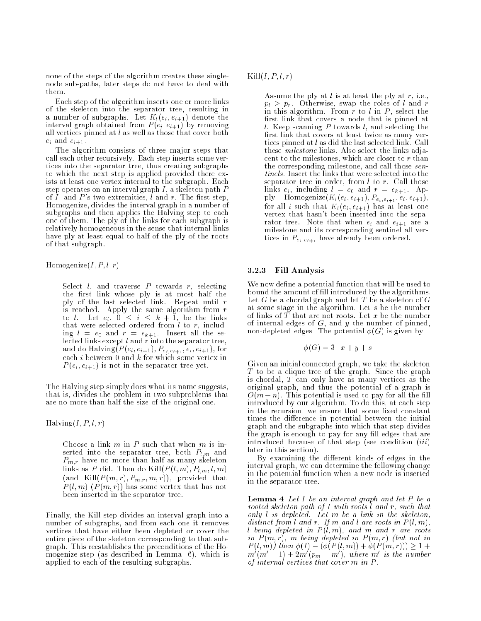none of the steps of the algorithm creates these singlenode sub-paths, later steps do not have to deal with them.

Each step of the algorithm inserts one or more links of the skeleton into the separator tree, resulting in a number of subgraphs. Let  $K_l(e_i, e_{i+1})$  denote the interval graph obtained from  $P(e_i, e_{i+1})$  by removing all vertices pinned at  $l$  as well as those that cover both  $e_i$  and  $e_{i+1}$ .

The algorithm consists of three major steps that call each other recursively. Each step inserts some vertices into the separator tree, thus creating subgraphs to which the next step is applied provided there exists at least one vertex internal to the subgraph. Each step operates on an interval graph I, a skeleton path P of  $\overline{I}$ , and  $\overline{P}$ 's two extremities,  $\overline{I}$  and  $\overline{r}$ . The first step, Homogenize, divides the interval graph in a number of subgraphs and then applies the Halving step to each one of them. The ply of the links for each subgraph is relatively homogeneous in the sense that internal links have ply at least equal to half of the ply of the roots of that subgraph.

Homogenize $(I, P, l, r)$ 

Select  $l$ , and traverse  $P$  towards  $r$ , selecting the first link whose ply is at most half the ply of the last selected link. Repeat until  $r$ is reached. Apply the same algorithm from  $r$ <br>to l. Let  $e_i$ ,  $0 \le i \le k+1$ , be the links that were selected ordered from  $l$  to  $r$ , including  $l = e_0$  and  $r = e_{k+1}$ . Insert all the selected links except l and r into the separator tree, and do Halving( $P(e_i, e_{i+1}), P_{e_i, e_{i+1}}, e_i, e_{i+1}$ ), for each  $i$  between 0 and  $k$  for which some vertex in  $P(e_i, e_{i+1})$  is not in the separator tree yet.

The Halving step simply does what its name suggests, that is, divides the problem in two subproblems that are no more than half the size of the original one.

Halving $(I, P, l, r)$ 

Choose a link  $m$  in  $P$  such that when  $m$  is inserted into the separator tree, both  $P_{l,m}$  and  $P_{m,r}$  have no more than half as many skeleton links as P did. Then do  $\text{Kill}(P(l,m), P_{l,m}, l, m)$  $(\text{and } \text{Kill}(P(m,r), P_{m,r}, m, r)),$  provided that  $P(l, m)$   $(P(m, r))$  has some vertex that has not been inserted in the separator tree.

Finally, the Kill step divides an interval graph into a number of subgraphs, and from each one it removes vertices that have either been depleted or cover the entire piece of the skeleton corresponding to that subgraph. This reestablishes the preconditions of the Homogenize step (as described in Lemma 6), which is applied to each of the resulting subgraphs.

 $\text{Kill}(I, P, l, r)$ 

Assume the ply at  $l$  is at least the ply at  $r$ , i.e.,  $p_l \geq p_r$ . Otherwise, swap the roles of l and r in this algorithm. From  $r$  to  $l$  in  $P$ , select the first link that covers a node that is pinned at l. Keep scanning  $P$  towards  $l$ , and selecting the first link that covers at least twice as many vertices pinned at l as did the last selected link. Call these milestone links. Also select the links adjacent to the milestones, which are closer to r than the corresponding milestone, and call those sentinels. Insert the links that were selected into the separator tree in order, from  $l$  to  $r$ . Call those links  $e_i$ , including  $l = e_0$  and  $r = e_{k+1}$ . Apply  $\text{Homogeneity}(K_l(e_i, e_{i+1}), P_{e_i, e_{i+1}}, e_i, e_{i+1}),$ for all i such that  $K_l(e_i, e_{i+1})$  has at least one vertex that hasn't been inserted into the separator tree. Note that when  $e_i$  and  $e_{i+1}$  are a milestone and its corresponding sentinel all vertices in  $P_{e_i, e_{i+1}}$  have already been ordered.

# 3.2.3 Fill Analysis

We now define a potential function that will be used to bound the amount of fill introduced by the algorithms. Let G be a chordal graph and let T be a skeleton of G at some stage in the algorithm. Let s be the number of links of  $T$  that are not roots. Let  $x$  be the number of internal edges of  $G$ , and  $y$  the number of pinned, non-depleted edges. The potential  $\phi(G)$  is given by

$$
\phi(G) = 3 \cdot x + y + s.
$$

Given an initial connected graph, we take the skeleton  $T$  to be a clique tree of the graph. Since the graph is chordal, T can only have as many vertices as the original graph, and thus the potential of a graph is  $O(m+n)$ . This potential is used to pay for all the fill introduced by our algorithm. To do this, at each step in the recursion, we ensure that some fixed constant times the difference in potential between the initial graph and the subgraphs into which that step divides the graph is enough to pay for any fill edges that are introduced because of that step (see condition *(iii)* later in this section).

By examining the different kinds of edges in the interval graph, we can determine the following change in the potential function when a new node is inserted in the separator tree.

**Lemma 4** Let I be an interval graph and let P be a rooted skeleton path of I with roots l and r, such that only l is depleted. Let <sup>m</sup> be a link in the skeleton, distinct from l and r. If m and l are roots in  $P(l, m)$ , l being depleted in  $P(l,m)$ , and  $m$  and  $r$  are roots in  $P(m,r)$ , m being depleted in  $P(m,r)$  (but not in  $P(l, m)$ ) then  $\phi(I) - (\phi(P(l, m)) + \phi(P(m, r))) \geq 1 +$  $m \ (m-1) + 2m \ (p_m - m')$ , where m° is the number<br>of internal vertices that cover m in P.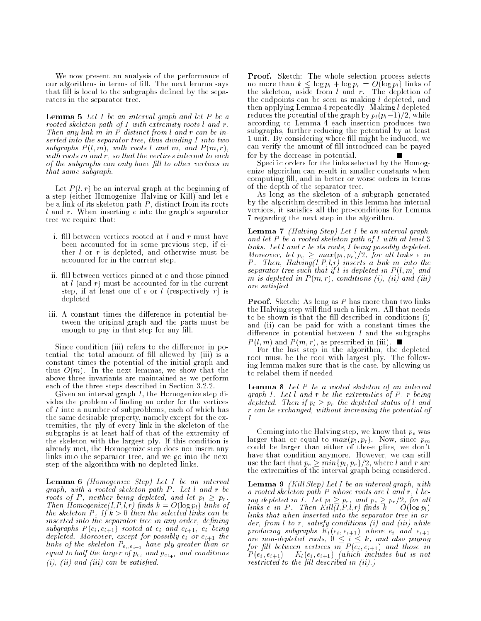We now present an analysis of the performance of our algorithms in terms of fill. The next lemma says that fill is local to the subgraphs defined by the separators in the separator tree.

**Lemma 5** Let I be an interval graph and let P be a rooted skeleton path of I with extremity roots l and r. Then any link <sup>m</sup> in P distinct from l and <sup>r</sup> can be inserted into the separator tree, thus dividing I into two subgraphs  $P(l, m)$ , with roots l and m, and  $P(m, r)$ with roots  $m$  and  $r$ , so that the vertices internal to each of the subgraphs can only have fill to other vertices in that same subgraph.

Let  $P(l,r)$  be an interval graph at the beginning of a step (either Homogenize, Halving or Kill) and let e be a link of its skeleton path  $P$ , distinct from its roots l and r. When inserting <sup>e</sup> into the graph's separator tree we require that:

- i. fill between vertices rooted at  $l$  and  $r$  must have been accounted for in some previous step, if either l or <sup>r</sup> is depleted, and otherwise must be accounted for in the current step.
- ii. fill between vertices pinned at  $e$  and those pinned at  $l$  (and  $r$ ) must be accounted for in the current step, if at least one of  $e$  or  $l$  (respectively r) is depleted.
- iii. A constant times the difference in potential between the original graph and the parts must be enough to pay in that step for any fill.

Since condition (iii) refers to the difference in potential, the total amount of fill allowed by (iii) is a constant times the potential of the initial graph and thus  $O(m)$ . In the next lemmas, we show that the above three invariants are maintained as we perform each of the three steps described in Section 3.2.2.

Given an interval graph I, the Homogenize step divides the problem of finding an order for the vertices of I into a number of subproblems, each of which has the same desirable property, namely except for the extremities, the ply of every link in the skeleton of the subgraphs is at least half of that of the extremity of the skeleton with the largest ply. If this condition is already met, the Homogenize step does not insert any links into the separator tree, and we go into the next step of the algorithm with no depleted links.

Lemma 6 (Homogenize Step) Let I be an interval graph, with a rooted skeleton path P . Let l and <sup>r</sup> be roots of P, neither being depleted, and let  $p_l \geq p_r$ . Then Homogenize(I,P,l,r) finds  $k = O(\log p_i)$  links of the skeleton P. If  $k > 0$  then the selected links can be inserted into the separator tree in any order, defining subgraphs  $P(e_i, e_{i+1})$  rooted at  $e_i$  and  $e_{i+1}$ ,  $e_i$  being depieted. Moreover, except for possibly  $e_i$  or  $e_{i+1}$  the<br>links of the skeleton  $P_{e_i,e_{i+1}}$  have ply greater than or equal to half the larger of  $p_{e_i}$  and  $p_{e_{i+1}}$  and conditions  $(i)$ ,  $(ii)$  and  $(iii)$  can be satisfied.

Proof. Sketch: The whole selection process selects no more than  $k \leq \log p_l + \log p_r = O(\log p_l)$  links of the skeleton, aside from  $l$  and  $r$ . The depletion of the endpoints can be seen as making  $l$  depleted, and then applying Lemma 4 repeatedly. Making l depleted reduces the potential of the graph by  $p_l (p_l-1)/2$ , while according to Lemma 4 each insertion produces two subgraphs, further reducing the potential by at least 1 unit. By considering where ll might be induced, we can verify the amount of fill introduced can be payed for by the decrease in potential.

Specific orders for the links selected by the Homogenize algorithm can result in smaller constants when computing fill, and in better or worse orders in terms of the depth of the separator tree.

As long as the skeleton of a subgraph generated by the algorithm described in this lemma has internal vertices, it satisfies all the pre-conditions for Lemma 7 regarding the next step in the algorithm.

**Lemma 7** (Halving Step) Let I be an interval graph, and let  $P$  be a rooted skeleton path of  $I$  with at least  $3$ links. Let l and <sup>r</sup> be its roots, l being possibly depleted. Moreover, let  $p_e~\geq~max(p_l, p_r)/2,$  for all links e in P. Then,  $Haliung(I, P, l, r)$  inserts a link m into the separator tree such that if l is depleted in  $P(l, m)$  and m is depleted in  $P(m,r)$ , conditions (i), (ii) and (iii) are satised.

Proof. Sketch: As long as P has more than two links the Halving step will find such a link  $m$ . All that needs to be shown is that the fill described in conditions (i) and (ii) can be paid for with a constant times the difference in potential between  $I$  and the subgraphs  $P(l, m)$  and  $P(m, r)$ , as prescribed in (iii).

For the last step in the algorithm, the depleted root must be the root with largest ply. The following lemma makes sure that is the case, by allowing us to relabel them if needed.

Lemma 8 Let P be a rooted skeleton of an interval graph I. Let  $l$  and  $r$  be the extremities of  $P$ ,  $r$  being depleted. Then if  $p_l \geq p_r$  the depleted status of l and r can be exchanged, without increasing the potential of I.

Coming into the Halving step, we know that  $p_e$  was larger than or equal to  $max(p_l, p_r)$ . Now, since  $p_m$ could be larger than either of those plies, we don't have that condition anymore. However, we can still use the fact that  $p_e \geq min\{p_l, p_r\}/2$ , where l and r are the extremities of the interval graph being considered.

**Lemma 9** *(Kill Step)* Let I be an interval graph, with a rooted skeleton path  $P$  whose roots are l and  $r, l$  being depleted in I. Let  $p_l \geq p_r$ , and  $p_e \geq p_r/2$ , for all links e in P. Then  $Kill(I, P, l, r)$  finds  $k = O(\log p_l)$ links that when inserted into the separator tree in order, from  $l$  to  $r$ , satisfy conditions  $(i)$  and  $(iii)$  while producing subgraphs  $K_l(e_i, e_{i+1})$  where  $e_i$  and  $e_{i+1}$ are non-depleted roots,  $0 \le i \le k$ , and also paying for fill between vertices in  $P(e_i, e_{i+1})$  and those in  $P(e_i, e_{i+1}) - K_l(e_i, e_{i+1})$  (which includes but is not restricted to the fill described in  $(ii)$ .)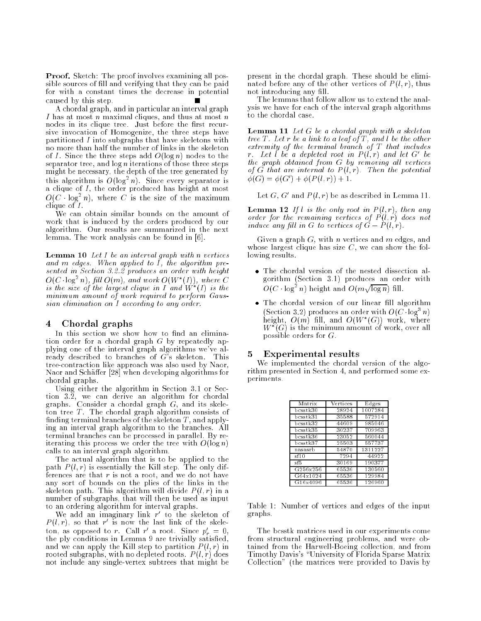Proof. Sketch: The proof involves examining all possible sources of fill and verifying that they can be paid for with a constant times the decrease in potential caused by this step.

A chordal graph, and in particular an interval graph I has at most n maximal cliques, and thus at most n nodes in its clique tree. Just before the first recursive invocation of Homogenize, the three steps have partitioned I into subgraphs that have skeletons with no more than half the number of links in the skeleton of I. Since the three steps add  $O(\log n)$  nodes to the separator tree, and  $\log n$  iterations of those three steps might be necessary, the depth of the tree generated by this algorithm is  $O(\log^2 n)$ . Since every separator is a clique of I, the order produced has height at most  $O(C \cdot \log^2 n)$ , where C is the size of the maximum clique of I.

We can obtain similar bounds on the amount of work that is induced by the orders produced by our algorithm. Our results are summarized in the next lemma. The work analysis can be found in [6].

**Lemma 10** Let  $I$  be an interval graph with n vertices and m edges. When applied to  $\overline{I}$ , the algorithm presented in Section 3.2.2 produces an order with height  $O(C \cdot \log^2 n)$ , fill  $O(m)$ , and work  $O(W^*(I))$ , where C is the size of the largest clique in I and  $W^*(I)$  is the minimum amount of work required to perform Gaussian elimination on I according to any order.

### 4Chordal graphs

In this section we show how to find an elimination order for a chordal graph  $G$  by repeatedly applying one of the interval graph algorithms we've already described to branches of  $G<sup>3</sup>$ s skeleton. This tree-contraction like approach was also used by Naor, Naor and Schäffer [28] when developing algorithms for chordal graphs.

Using either the algorithm in Section 3.1 or Section 3.2, we can derive an algorithm for chordal graphs. Consider a chordal graph G, and its skele- $\overline{\text{ton}}$  tree  $T$ . The chordal graph algorithm consists of finding terminal branches of the skeleton  $T$ , and applying an interval graph algorithm to the branches. All terminal branches can be processed in parallel. By reiterating this process we order the tree with  $O(\log n)$ calls to an interval graph algorithm.

The actual algorithm that is to be applied to the path  $P(l,r)$  is essentially the Kill step. The only differences are that  $r$  is not a root, and we do not have any sort of bounds on the plies of the links in the skeleton path. This algorithm will divide  $P(l,r)$  in a number of subgraphs, that will then be used as input to an ordering algorithm for interval graphs.

We add an imaginary link  $r$  to the skeleton of  $P(l,r)$ , so that r' is now the last link of the skeleton, as opposed to r. Uall r a root. Since  $p_r = 0$ , the ply conditions in Lemma 9 are trivially satisfied, and we can apply the Kill step to partition  $P(l, r)$  in rooted subgraphs, with no depleted roots.  $P(l,r)$  does not include any single-vertex subtrees that might be present in the chordal graph. These should be eliminated before any of the other vertices of  $P(l,r)$ , thus not introducing any fill.

The lemmas that follow allow us to extend the analysis we have for each of the interval graph algorithms to the chordal case.

**Lemma 11** Let  $G$  be a chordal graph with a skeleton tree T. Let r be a link to a leaf of T, and l be the other extremity of the terminal branch of T that includes r. Let  $l$  be a depleted root in  $P(l,r)$  and let  $G'$  be the graph obtained from  $G$  by removing all vertices of  $\tilde{G}$  that are internal to  $P(l,r)$ . Then the potential  $\phi(G) = \phi(G') + \phi(P(l, r)) + 1.$ 

Let  $G, G'$  and  $P(l, r)$  be as described in Lemma 11.

**Lemma 12** If l is the only root in  $P(l,r)$ , then any order for the remaining vertices of  $P(l,r)$  does not induce any fill in G to vertices of  $G - P(l, r)$ .

Given a graph  $G$ , with n vertices and m edges, and whose largest clique has size  $C$ , we can show the following results.

- gorithm (Section 3.1) produces an order with  $O(C \log^2 n)$  height and  $O(m \sqrt{\log n})$  fill.
- The chordal version of our linear ll algorithm (Section 3.2) produces an order with  $O(C \log^3 n)$ height,  $O(m)$  fill, and  $O(W^*(G))$  work, where  $W^*(G)$  is the minimum amount of work, over all possible orders for G.

### 5Experimental results

We implemented the chordal version of the algorithm presented in Section 4, and performed some experiments.

| Matrix         | Vertices | Edges   |
|----------------|----------|---------|
| $bcs$ stk30    | 28924    | 1007284 |
| $bcs$ stk31    | 35588    | 572914  |
| bcsstk32       | 44609    | 985046  |
| $bcs$ stk $35$ | 30237    | 709963  |
| bcsstk36       | 23052    | 560044  |
| bcsstk37       | 25503    | 557737  |
| nasasrb        | 54870    | 1311227 |
| sf10           | 7294     | 44922   |
| sf5            | 30169    | 190377  |
| G256x256       | 65536    | 130560  |
| G64x1024       | 65536    | 129984  |
| G16x4096       | 65536    | 126960  |

Table 1: Number of vertices and edges of the input graphs.

The bcsstk matrices used in our experiments come from structural engineering problems, and were obtained from the Harwell-Boeing collection, and from Timothy Davis's \University of Florida Sparse Matrix Collection" (the matrices were provided to Davis by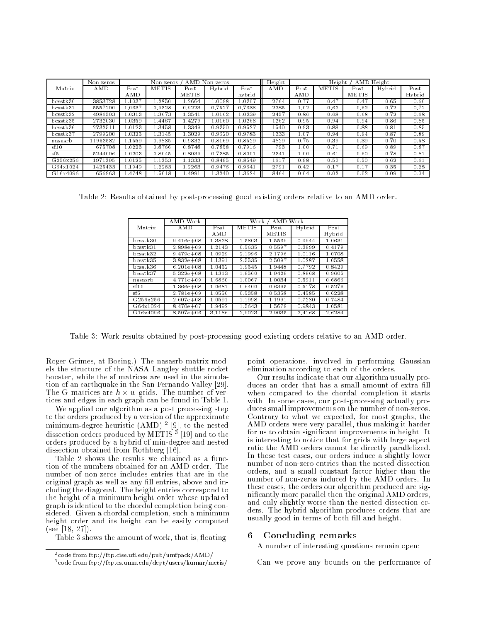|                | AMD Non-zeros<br>Non-zeros<br>Non-zeros |         |              |              | Height | Height<br>AMD Height |      |      |              |              |        |        |
|----------------|-----------------------------------------|---------|--------------|--------------|--------|----------------------|------|------|--------------|--------------|--------|--------|
| Matrix         | $\overline{\rm AMD}$                    | Post    | <b>METIS</b> | Post         | Hybrid | Post                 | AMD  | Post | <b>METIS</b> | Post         | Hybrid | Post   |
|                |                                         | AMD     |              | <b>METIS</b> |        | hybrid               |      | AMD  |              | <b>METIS</b> |        | Hybrid |
| bcsstk30       | 3853728                                 | $-1037$ | .2850        | .2664        | 1.0098 | 1.0307               | 2764 | 0.77 | 0.47         | 0.47         | 0.65   | 0.60   |
| bcsstk31       | 5557200                                 | $-0637$ | 0.9328       | 0.9223       | 0.7527 | 0.7638               | 2285 | 1.02 | 0.62         | 0.62         | 0.72   | 0.72   |
| bcsstk32       | 4986503                                 | 1.0313  | 3673         | .3541        | 1.0162 | 1.0339               | 2457 | 0.86 | 0.68         | 0.68         | 0.72   | 0.68   |
| $bcs$ stk $35$ | 2732030                                 | 1.0359  | 1.4467       | 1.4279       | 1.0160 | 1.0268               | 1262 | 0.95 | 0.94         | 0.94         | 0.86   | 0.85   |
| bcsstk36       | 2732511                                 | 1.0123  | 3458         | .3349        | 0.9350 | 0.9527               | 1540 | 0.93 | 0.88         | 0.88         | 0.81   | 0.85   |
| bcsstk37       | 2799200                                 | 1.0325  | 1.3145       | .3029        | 0.9620 | 0.9785               | 1333 | 1.07 | 0.94         | 0.94         | 0.87   | 0.89   |
| nasasrb        | 11953582                                | .1559   | 0.9885       | 0.9832       | 0.8169 | 0.8529               | 4829 | 0.75 | 0.39         | 0.39         | 0.70   | 0.58   |
| sf10           | 675708                                  | 1.0223  | 0.8766       | 0.8748       | 0.7858 | 0.7916               | 793  | 1.00 | 0.71         | 0.69         | 0.89   | 0.87   |
| sf5            | 5244006                                 | 1.0203  | 0.8045       | 0.8039       | 0.7385 | 0.8001               | 2341 | 1.00 | 0.61         | 0.60         | 0.78   | 0.81   |
| G256x256       | 1971395                                 | 1.0125  | 1.1353       | 1.1333       | 0.8495 | 0.8549               | 1617 | 0.98 | 0.50         | 0.50         | 0.62   | 0.61   |
| G64x1024       | 1425433                                 | l.1949  | .2283        | .2263        | 0.9476 | 0.9641               | 2791 | 0.42 | 0.17         | 0.17         | 0.35   | 0.28   |
| G16x4096       | 656963                                  | .4748   | .5018        | .4991        | 3240   | 3624                 | 8464 | 0.04 | 0.02         | 0.02         | 0.09   | 0.04   |

Table 2: Results obtained by post-processing good existing orders relative to an AMD order.

|          | Work<br>A MD   | Work<br>A M D<br>Work |              |              |        |        |  |
|----------|----------------|-----------------------|--------------|--------------|--------|--------|--|
| Matrix   | <b>AMD</b>     | Post                  | <b>METIS</b> | Post         | Hybrid | Post   |  |
|          |                | A MD                  |              | <b>METIS</b> |        | Hybrid |  |
| bcsstk30 | $9.416e + 08$  | 1.3828                | 1.5803       | 1.5569       | 0.9944 | 1.0631 |  |
| bcsstk31 | $2.898e + 09$  | 12143                 | 0.5635       | 0.5597       | 0.3999 | 0.4179 |  |
| bcsstk32 | $9.479e + 08$  | 1.0929                | 2.1996       | 2.1796       | 1.0116 | 1.0708 |  |
| bcsstk35 | $3.832e + 0.8$ | 1.1391                | 2.5535       | 2.5097       | 1.0287 | 1.0558 |  |
| bcsstk36 | $6.201e + 08$  | 1.0452                | 1.9545       | 1.9448       | 0.7792 | 0.8429 |  |
| bcsstk37 | $5.322e+0.8$   | 1.1313                | 1.9560       | 1.9429       | 0.8968 | 0.9605 |  |
| nasasrb  | $4.771e + 09$  | 1.6860                | 1.0067       | 1.0034       | 0.5911 | 0.6866 |  |
| sf10     | $1.366e + 08$  | 1.0681                | 0.6400       | 0.6395       | 0.5178 | 0.5279 |  |
| sf5      | $2.781e + 09$  | 1.0550                | 0.5358       | 0.5358       | 0.4585 | 0.6228 |  |
| G256x256 | $2.607e + 08$  | 1.0591                | 1.1998       | 1.1991       | 0.7280 | 0.7484 |  |
| G64x1024 | $8.470e + 07$  | 1.9492                | 1.5643       | 1.5679       | 0.9843 | 1.0581 |  |
| G16x4096 | $8.507e + 06$  | 3.1186                | 2.9023       | 2.9035       | 2.4168 | 2.6284 |  |

Table 3: Work results obtained by post-processing good existing orders relative to an AMD order.

Roger Grimes, at Boeing.) The nasasrb matrix models the structure of the NASA Langley shuttle rocket booster, while the sf matrices are used in the simulation of an earthquake in the San Fernando Valley [29]. The G matrices are  $h \times w$  grids. The number of vertices and edges in each graph can be found in Table 1.

We applied our algorithm as a post processing step to the orders produced by a version of the approximate minimum-degree heuristic (AMD) <sup>2</sup> [9], to the nested dissection orders produced by METIS <sup>3</sup> [19] and to the orders produced by a hybrid of min-degree and nested dissection obtained from Rothberg [16].

Table 2 shows the results we obtained as a function of the numbers obtained for an AMD order. The number of non-zeros includes entries that are in the original graph as well as any fill entries, above and including the diagonal. The height entries correspond to the height of a minimum height order whose updated graph is identical to the chordal completion being considered. Given a chordal completion, such a minimum height order and its height can be easily computed (see [18, 27]).

Table 3 shows the amount of work, that is, floating-

point operations, involved in performing Gaussian elimination according to each of the orders.

Our results indicate that our algorithm usually produces an order that has a small amount of extra fill when compared to the chordal completion it starts with. In some cases, our post-processing actually produces small improvements on the number of non-zeros. Contrary to what we expected, for most graphs, the AMD orders were very parallel, thus making it harder for us to obtain signicant improvements in height. It is interesting to notice that for grids with large aspect ratio the AMD orders cannot be directly parallelized. In those test cases, our orders induce a slightly lower number of non-zero entries than the nested dissection orders, and a small constant factor higher than the number of non-zeros induced by the AMD orders. In these cases, the orders our algorithm produced are signicantly more parallel then the original AMD orders, and only slightly worse than the nested dissection orders. The hybrid algorithm produces orders that are usually good in terms of both fill and height.

#### 6Concluding remarks

A number of interesting questions remain open:

Can we prove any bounds on the performance of

<sup>2</sup> code from ftp://ftp.cise.u
.edu/pub/umfpack/AMD/

<sup>3</sup> code from ftp://ftp.cs.umn.edu/dept/users/kumar/metis/